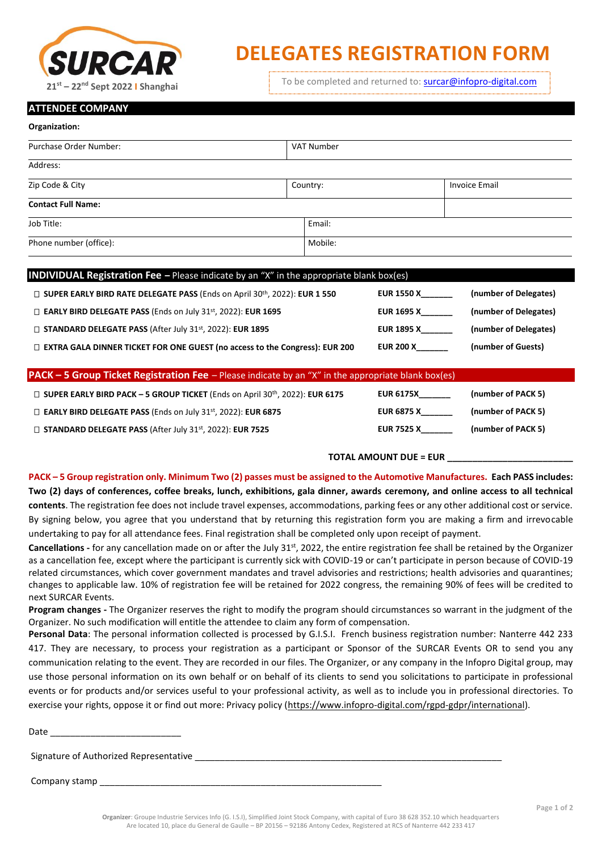

## **DELEGATES REGISTRATION FORM**

To be completed and returned to: [surcar@infopro-digital.com](mailto:surcar@infopro-digital.com) **<sup>21</sup>st – <sup>22</sup>nd Sept 2022 I Shanghai**

## **ATTENDEE COMPANY**

| Organization:                     |            |                      |  |  |
|-----------------------------------|------------|----------------------|--|--|
| Purchase Order Number:            | VAT Number |                      |  |  |
| Address:                          |            |                      |  |  |
| Zip Code & City                   | Country:   | <b>Invoice Email</b> |  |  |
| <b>Contact Full Name:</b>         |            |                      |  |  |
| Job Title:                        | Email:     |                      |  |  |
| Phone number (office):<br>Mobile: |            |                      |  |  |
|                                   |            |                      |  |  |

| <b>INDIVIDUAL Registration Fee</b> - Please indicate by an "X" in the appropriate blank box(es) |                   |                       |  |  |
|-------------------------------------------------------------------------------------------------|-------------------|-----------------------|--|--|
| □ SUPER EARLY BIRD RATE DELEGATE PASS (Ends on April 30th, 2022): EUR 1 550                     | <b>EUR 1550 X</b> | (number of Delegates) |  |  |
| $\Box$ EARLY BIRD DELEGATE PASS (Ends on July 31st, 2022): EUR 1695                             | EUR 1695 X        | (number of Delegates) |  |  |
| $\Box$ STANDARD DELEGATE PASS (After July 31 <sup>st</sup> , 2022): EUR 1895                    | <b>EUR 1895 X</b> | (number of Delegates) |  |  |
| □ EXTRA GALA DINNER TICKET FOR ONE GUEST (no access to the Congress): EUR 200                   | <b>EUR 200 X</b>  | (number of Guests)    |  |  |

| <b>PACK - 5 Group Ticket Registration Fee</b> - Please indicate by an "X" in the appropriate blank box(es) |                   |                    |  |  |
|------------------------------------------------------------------------------------------------------------|-------------------|--------------------|--|--|
| □ SUPER EARLY BIRD PACK - 5 GROUP TICKET (Ends on April 30th, 2022): EUR 6175                              | <b>EUR 6175X</b>  | (number of PACK 5) |  |  |
| $\Box$ EARLY BIRD DELEGATE PASS (Ends on July 31st, 2022): EUR 6875                                        | EUR 6875 X        | (number of PACK 5) |  |  |
| $\Box$ STANDARD DELEGATE PASS (After July 31st, 2022): EUR 7525                                            | <b>EUR 7525 X</b> | (number of PACK 5) |  |  |

## **TOTAL AMOUNT DUE = EUR \_\_\_\_\_\_\_\_\_\_\_\_\_\_\_\_\_\_\_\_\_\_\_\_\_**

**PACK – 5 Group registration only. Minimum Two (2) passes must be assigned to the Automotive Manufactures. Each PASS includes: Two (2) days of conferences, coffee breaks, lunch, exhibitions, gala dinner, awards ceremony, and online access to all technical contents**. The registration fee does not include travel expenses, accommodations, parking fees or any other additional cost or service. By signing below, you agree that you understand that by returning this registration form you are making a firm and irrevocable undertaking to pay for all attendance fees. Final registration shall be completed only upon receipt of payment.

Cancellations - for any cancellation made on or after the July 31<sup>st</sup>, 2022, the entire registration fee shall be retained by the Organizer as a cancellation fee, except where the participant is currently sick with COVID-19 or can't participate in person because of COVID-19 related circumstances, which cover government mandates and travel advisories and restrictions; health advisories and quarantines; changes to applicable law. 10% of registration fee will be retained for 2022 congress, the remaining 90% of fees will be credited to next SURCAR Events.

**Program changes -** The Organizer reserves the right to modify the program should circumstances so warrant in the judgment of the Organizer. No such modification will entitle the attendee to claim any form of compensation.

**Personal Data**: The personal information collected is processed by G.I.S.I. French business registration number: Nanterre 442 233 417. They are necessary, to process your registration as a participant or Sponsor of the SURCAR Events OR to send you any communication relating to the event. They are recorded in our files. The Organizer, or any company in the Infopro Digital group, may use those personal information on its own behalf or on behalf of its clients to send you solicitations to participate in professional events or for products and/or services useful to your professional activity, as well as to include you in professional directories. To exercise your rights, oppose it or find out more: Privacy policy [\(https://www.infopro-digital.com/rgpd-gdpr/international\)](https://www.infopro-digital.com/rgpd-gdpr/international).

| Date                                   |  |
|----------------------------------------|--|
| Signature of Authorized Representative |  |
| Company stamp                          |  |